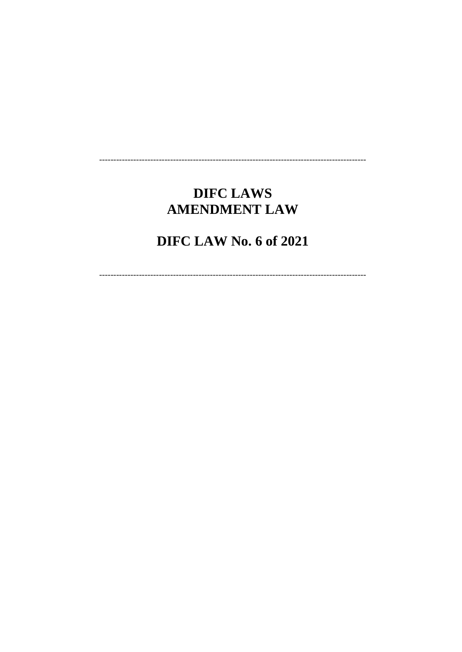# **DIFC LAWS AMENDMENT LAW**

# **DIFC LAW No. 6 of 2021**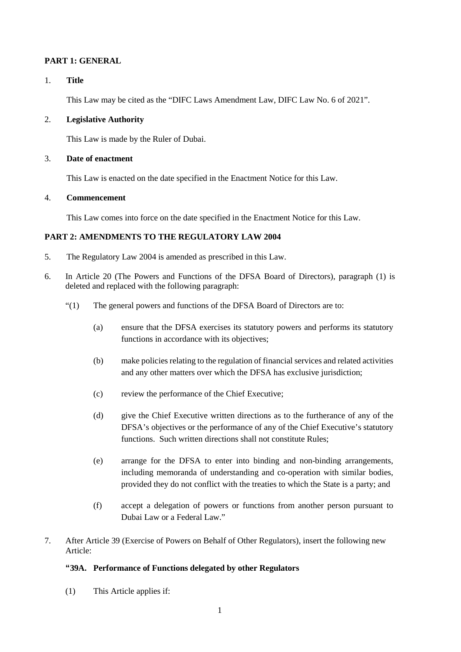## **PART 1: GENERAL**

#### 1. **Title**

This Law may be cited as the "DIFC Laws Amendment Law, DIFC Law No. 6 of 2021".

#### 2. **Legislative Authority**

This Law is made by the Ruler of Dubai.

#### 3. **Date of enactment**

This Law is enacted on the date specified in the Enactment Notice for this Law.

#### 4. **Commencement**

This Law comes into force on the date specified in the Enactment Notice for this Law.

# **PART 2: AMENDMENTS TO THE REGULATORY LAW 2004**

- 5. The Regulatory Law 2004 is amended as prescribed in this Law.
- 6. In Article 20 (The Powers and Functions of the DFSA Board of Directors), paragraph (1) is deleted and replaced with the following paragraph:
	- "(1) The general powers and functions of the DFSA Board of Directors are to:
		- (a) ensure that the DFSA exercises its statutory powers and performs its statutory functions in accordance with its objectives;
		- (b) make policies relating to the regulation of financial services and related activities and any other matters over which the DFSA has exclusive jurisdiction;
		- (c) review the performance of the Chief Executive;
		- (d) give the Chief Executive written directions as to the furtherance of any of the DFSA's objectives or the performance of any of the Chief Executive's statutory functions. Such written directions shall not constitute Rules;
		- (e) arrange for the DFSA to enter into binding and non-binding arrangements, including memoranda of understanding and co-operation with similar bodies, provided they do not conflict with the treaties to which the State is a party; and
		- (f) accept a delegation of powers or functions from another person pursuant to Dubai Law or a Federal Law."
- 7. After Article 39 (Exercise of Powers on Behalf of Other Regulators), insert the following new Article:

# **"39A. Performance of Functions delegated by other Regulators**

(1) This Article applies if: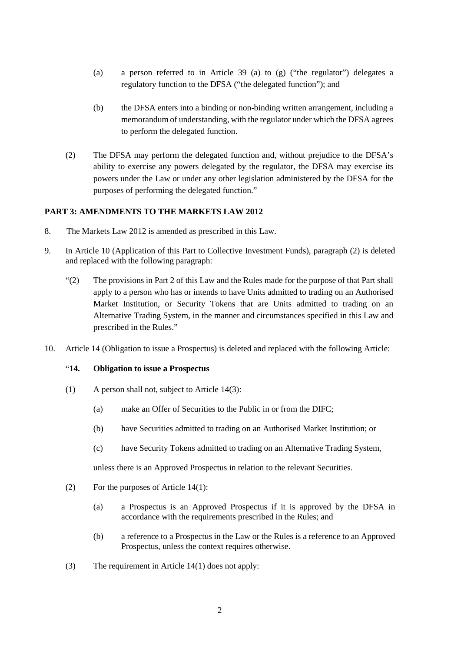- (a) a person referred to in Article 39 (a) to (g) ("the regulator") delegates a regulatory function to the DFSA ("the delegated function"); and
- (b) the DFSA enters into a binding or non-binding written arrangement, including a memorandum of understanding, with the regulator under which the DFSA agrees to perform the delegated function.
- (2) The DFSA may perform the delegated function and, without prejudice to the DFSA's ability to exercise any powers delegated by the regulator, the DFSA may exercise its powers under the Law or under any other legislation administered by the DFSA for the purposes of performing the delegated function."

#### **PART 3: AMENDMENTS TO THE MARKETS LAW 2012**

- 8. The Markets Law 2012 is amended as prescribed in this Law.
- 9. In Article 10 (Application of this Part to Collective Investment Funds), paragraph (2) is deleted and replaced with the following paragraph:
	- "(2) The provisions in Part 2 of this Law and the Rules made for the purpose of that Part shall apply to a person who has or intends to have Units admitted to trading on an Authorised Market Institution, or Security Tokens that are Units admitted to trading on an Alternative Trading System, in the manner and circumstances specified in this Law and prescribed in the Rules."
- 10. Article 14 (Obligation to issue a Prospectus) is deleted and replaced with the following Article:

## "**14. Obligation to issue a Prospectus**

- (1) A person shall not, subject to Article 14(3):
	- (a) make an Offer of Securities to the Public in or from the DIFC;
	- (b) have Securities admitted to trading on an Authorised Market Institution; or
	- (c) have Security Tokens admitted to trading on an Alternative Trading System,

unless there is an Approved Prospectus in relation to the relevant Securities.

- (2) For the purposes of Article 14(1):
	- (a) a Prospectus is an Approved Prospectus if it is approved by the DFSA in accordance with the requirements prescribed in the Rules; and
	- (b) a reference to a Prospectus in the Law or the Rules is a reference to an Approved Prospectus, unless the context requires otherwise.
- (3) The requirement in Article 14(1) does not apply: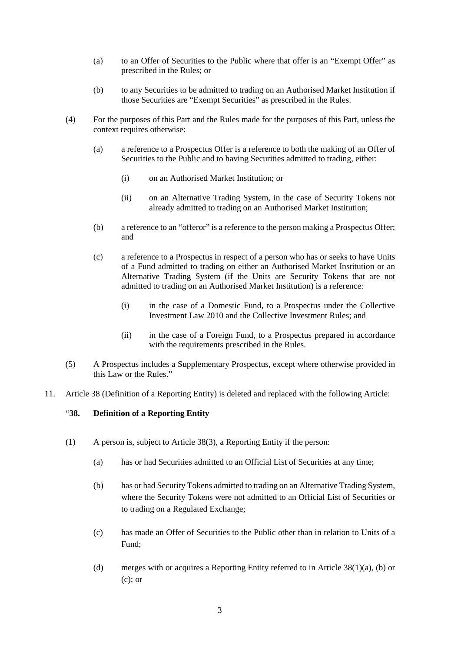- (a) to an Offer of Securities to the Public where that offer is an "Exempt Offer" as prescribed in the Rules; or
- (b) to any Securities to be admitted to trading on an Authorised Market Institution if those Securities are "Exempt Securities" as prescribed in the Rules.
- (4) For the purposes of this Part and the Rules made for the purposes of this Part, unless the context requires otherwise:
	- (a) a reference to a Prospectus Offer is a reference to both the making of an Offer of Securities to the Public and to having Securities admitted to trading, either:
		- (i) on an Authorised Market Institution; or
		- (ii) on an Alternative Trading System, in the case of Security Tokens not already admitted to trading on an Authorised Market Institution;
	- (b) a reference to an "offeror" is a reference to the person making a Prospectus Offer; and
	- (c) a reference to a Prospectus in respect of a person who has or seeks to have Units of a Fund admitted to trading on either an Authorised Market Institution or an Alternative Trading System (if the Units are Security Tokens that are not admitted to trading on an Authorised Market Institution) is a reference:
		- (i) in the case of a Domestic Fund, to a Prospectus under the Collective Investment Law 2010 and the Collective Investment Rules; and
		- (ii) in the case of a Foreign Fund, to a Prospectus prepared in accordance with the requirements prescribed in the Rules.
- (5) A Prospectus includes a Supplementary Prospectus, except where otherwise provided in this Law or the Rules."
- 11. Article 38 (Definition of a Reporting Entity) is deleted and replaced with the following Article:

### "**38. Definition of a Reporting Entity**

- (1) A person is, subject to Article 38(3), a Reporting Entity if the person:
	- (a) has or had Securities admitted to an Official List of Securities at any time;
	- (b) has or had Security Tokens admitted to trading on an Alternative Trading System, where the Security Tokens were not admitted to an Official List of Securities or to trading on a Regulated Exchange;
	- (c) has made an Offer of Securities to the Public other than in relation to Units of a Fund;
	- (d) merges with or acquires a Reporting Entity referred to in Article 38(1)(a), (b) or (c); or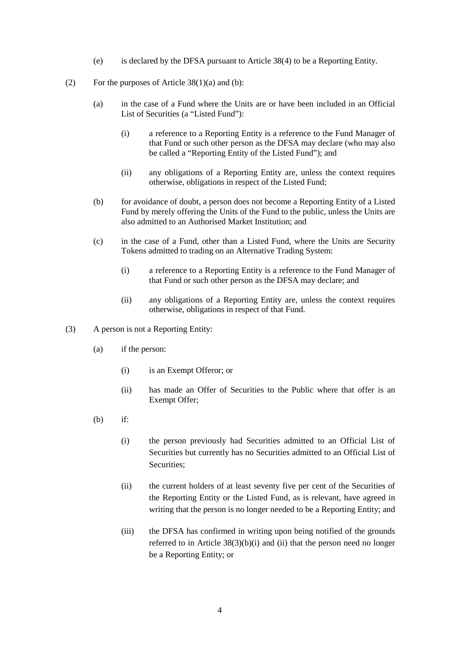- (e) is declared by the DFSA pursuant to Article 38(4) to be a Reporting Entity.
- (2) For the purposes of Article  $38(1)(a)$  and (b):
	- (a) in the case of a Fund where the Units are or have been included in an Official List of Securities (a "Listed Fund"):
		- (i) a reference to a Reporting Entity is a reference to the Fund Manager of that Fund or such other person as the DFSA may declare (who may also be called a "Reporting Entity of the Listed Fund"); and
		- (ii) any obligations of a Reporting Entity are, unless the context requires otherwise, obligations in respect of the Listed Fund;
	- (b) for avoidance of doubt, a person does not become a Reporting Entity of a Listed Fund by merely offering the Units of the Fund to the public, unless the Units are also admitted to an Authorised Market Institution; and
	- (c) in the case of a Fund, other than a Listed Fund, where the Units are Security Tokens admitted to trading on an Alternative Trading System:
		- (i) a reference to a Reporting Entity is a reference to the Fund Manager of that Fund or such other person as the DFSA may declare; and
		- (ii) any obligations of a Reporting Entity are, unless the context requires otherwise, obligations in respect of that Fund.
- (3) A person is not a Reporting Entity:
	- (a) if the person:
		- (i) is an Exempt Offeror; or
		- (ii) has made an Offer of Securities to the Public where that offer is an Exempt Offer;
	- (b) if:
		- (i) the person previously had Securities admitted to an Official List of Securities but currently has no Securities admitted to an Official List of Securities;
		- (ii) the current holders of at least seventy five per cent of the Securities of the Reporting Entity or the Listed Fund, as is relevant, have agreed in writing that the person is no longer needed to be a Reporting Entity; and
		- (iii) the DFSA has confirmed in writing upon being notified of the grounds referred to in Article  $38(3)(b)(i)$  and (ii) that the person need no longer be a Reporting Entity; or